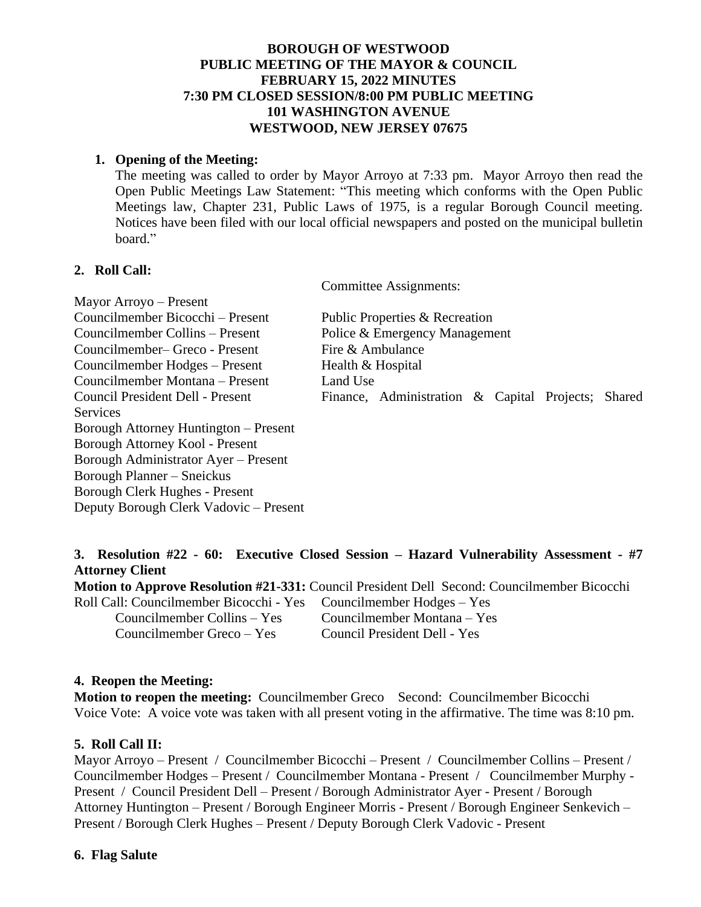### **BOROUGH OF WESTWOOD PUBLIC MEETING OF THE MAYOR & COUNCIL FEBRUARY 15, 2022 MINUTES 7:30 PM CLOSED SESSION/8:00 PM PUBLIC MEETING 101 WASHINGTON AVENUE WESTWOOD, NEW JERSEY 07675**

#### **1. Opening of the Meeting:**

The meeting was called to order by Mayor Arroyo at 7:33 pm. Mayor Arroyo then read the Open Public Meetings Law Statement: "This meeting which conforms with the Open Public Meetings law, Chapter 231, Public Laws of 1975, is a regular Borough Council meeting. Notices have been filed with our local official newspapers and posted on the municipal bulletin board."

#### **2. Roll Call:**

Committee Assignments:

| Mayor Arroyo – Present                 |                                |                                                    |  |  |  |
|----------------------------------------|--------------------------------|----------------------------------------------------|--|--|--|
| Councilmember Bicocchi – Present       | Public Properties & Recreation |                                                    |  |  |  |
| Councilmember Collins – Present        | Police & Emergency Management  |                                                    |  |  |  |
| Councilmember–Greco - Present          | Fire & Ambulance               |                                                    |  |  |  |
| Councilmember Hodges – Present         | Health & Hospital              |                                                    |  |  |  |
| Councilmember Montana – Present        | Land Use                       |                                                    |  |  |  |
| Council President Dell - Present       |                                | Finance, Administration & Capital Projects; Shared |  |  |  |
| Services                               |                                |                                                    |  |  |  |
| Borough Attorney Huntington – Present  |                                |                                                    |  |  |  |
| Borough Attorney Kool - Present        |                                |                                                    |  |  |  |
| Borough Administrator Ayer - Present   |                                |                                                    |  |  |  |
| Borough Planner – Sneickus             |                                |                                                    |  |  |  |
| Borough Clerk Hughes - Present         |                                |                                                    |  |  |  |
| Deputy Borough Clerk Vadovic – Present |                                |                                                    |  |  |  |

### **3. Resolution #22 - 60: Executive Closed Session – Hazard Vulnerability Assessment - #7 Attorney Client**

**Motion to Approve Resolution #21-331:** Council President Dell Second: Councilmember Bicocchi Roll Call: Councilmember Bicocchi - Yes Councilmember Hodges – Yes Councilmember Collins – Yes Councilmember Montana – Yes

Councilmember Greco – Yes Council President Dell - Yes

#### **4. Reopen the Meeting:**

**Motion to reopen the meeting:** Councilmember Greco Second: Councilmember Bicocchi Voice Vote: A voice vote was taken with all present voting in the affirmative. The time was 8:10 pm.

# **5. Roll Call II:**

Mayor Arroyo – Present / Councilmember Bicocchi – Present / Councilmember Collins – Present / Councilmember Hodges – Present / Councilmember Montana - Present / Councilmember Murphy - Present / Council President Dell – Present / Borough Administrator Ayer - Present / Borough Attorney Huntington – Present / Borough Engineer Morris - Present / Borough Engineer Senkevich – Present / Borough Clerk Hughes – Present / Deputy Borough Clerk Vadovic - Present

#### **6. Flag Salute**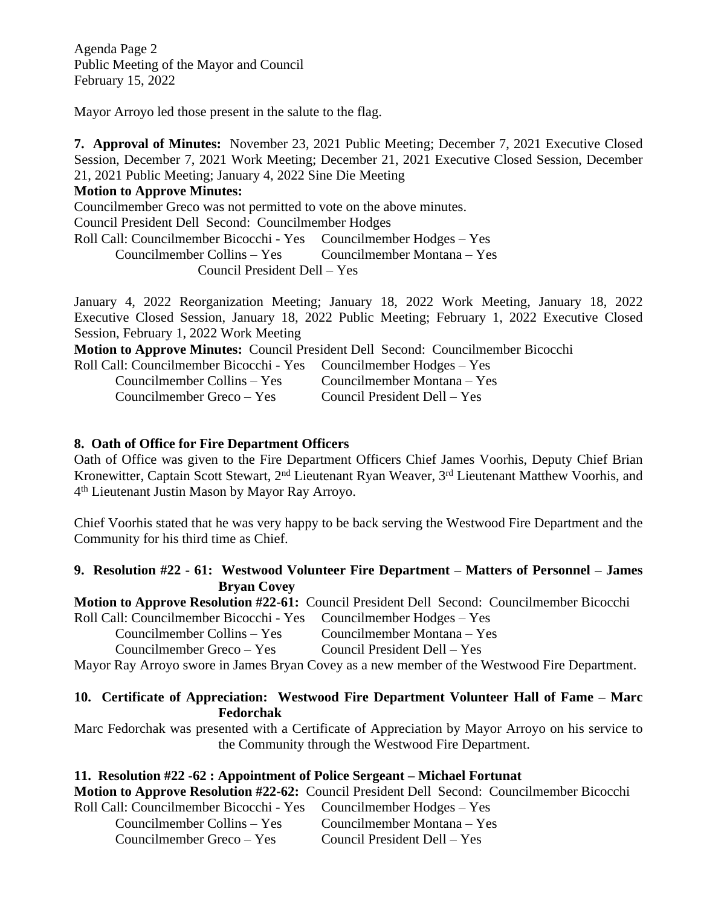Agenda Page 2 Public Meeting of the Mayor and Council February 15, 2022

Mayor Arroyo led those present in the salute to the flag.

**7. Approval of Minutes:** November 23, 2021 Public Meeting; December 7, 2021 Executive Closed Session, December 7, 2021 Work Meeting; December 21, 2021 Executive Closed Session, December 21, 2021 Public Meeting; January 4, 2022 Sine Die Meeting

#### **Motion to Approve Minutes:**

Councilmember Greco was not permitted to vote on the above minutes.

Council President Dell Second: Councilmember Hodges

Roll Call: Councilmember Bicocchi - Yes Councilmember Hodges – Yes

Councilmember Collins – Yes Councilmember Montana – Yes

Council President Dell – Yes

January 4, 2022 Reorganization Meeting; January 18, 2022 Work Meeting, January 18, 2022 Executive Closed Session, January 18, 2022 Public Meeting; February 1, 2022 Executive Closed Session, February 1, 2022 Work Meeting

**Motion to Approve Minutes:** Council President Dell Second: Councilmember Bicocchi

| Roll Call: Councilmember Bicocchi - Yes Councilmember Hodges – Yes |                              |
|--------------------------------------------------------------------|------------------------------|
| Councilmember Collins – Yes                                        | Councilmember Montana – Yes  |
| Councilmember Greco – Yes                                          | Council President Dell – Yes |

# **8. Oath of Office for Fire Department Officers**

Oath of Office was given to the Fire Department Officers Chief James Voorhis, Deputy Chief Brian Kronewitter, Captain Scott Stewart, 2<sup>nd</sup> Lieutenant Ryan Weaver, 3<sup>rd</sup> Lieutenant Matthew Voorhis, and 4 th Lieutenant Justin Mason by Mayor Ray Arroyo.

Chief Voorhis stated that he was very happy to be back serving the Westwood Fire Department and the Community for his third time as Chief.

### **9. Resolution #22 - 61: Westwood Volunteer Fire Department – Matters of Personnel – James Bryan Covey**

**Motion to Approve Resolution #22-61:** Council President Dell Second: Councilmember Bicocchi Roll Call: Councilmember Bicocchi - Yes Councilmember Hodges – Yes

Councilmember Collins – Yes Councilmember Montana – Yes

Councilmember Greco – Yes Council President Dell – Yes

Mayor Ray Arroyo swore in James Bryan Covey as a new member of the Westwood Fire Department.

### **10. Certificate of Appreciation: Westwood Fire Department Volunteer Hall of Fame – Marc Fedorchak**

Marc Fedorchak was presented with a Certificate of Appreciation by Mayor Arroyo on his service to the Community through the Westwood Fire Department.

# **11. Resolution #22 -62 : Appointment of Police Sergeant – Michael Fortunat**

**Motion to Approve Resolution #22-62:** Council President Dell Second: Councilmember Bicocchi

Roll Call: Councilmember Bicocchi - Yes Councilmember Hodges – Yes Councilmember Collins – Yes Councilmember Montana – Yes Councilmember Greco – Yes Council President Dell – Yes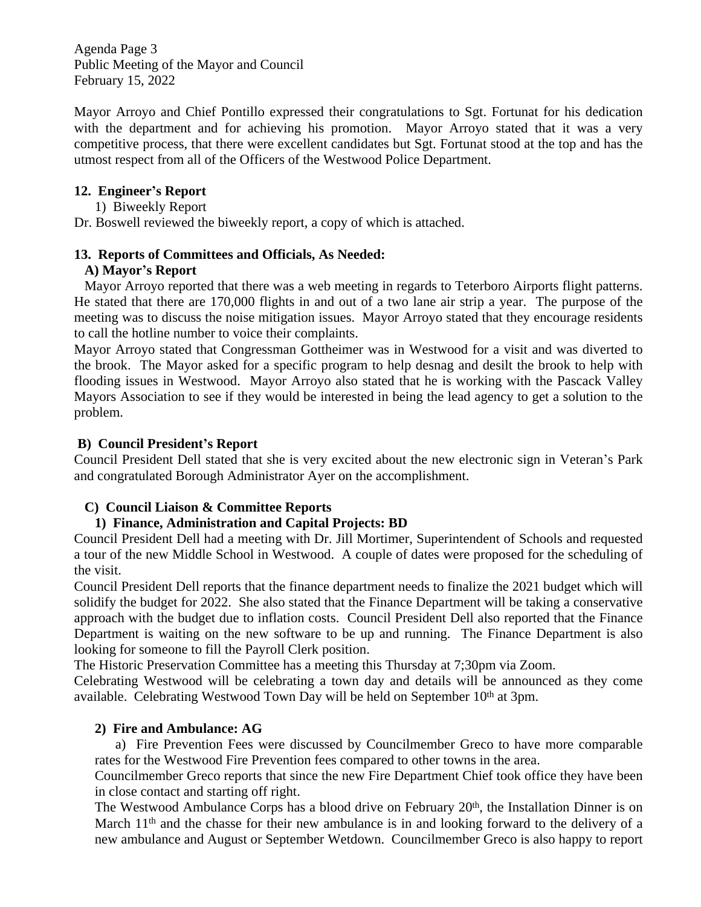Agenda Page 3 Public Meeting of the Mayor and Council February 15, 2022

Mayor Arroyo and Chief Pontillo expressed their congratulations to Sgt. Fortunat for his dedication with the department and for achieving his promotion. Mayor Arroyo stated that it was a very competitive process, that there were excellent candidates but Sgt. Fortunat stood at the top and has the utmost respect from all of the Officers of the Westwood Police Department.

# **12. Engineer's Report**

1) Biweekly Report

Dr. Boswell reviewed the biweekly report, a copy of which is attached.

### **13. Reports of Committees and Officials, As Needed:**

### **A) Mayor's Report**

Mayor Arroyo reported that there was a web meeting in regards to Teterboro Airports flight patterns. He stated that there are 170,000 flights in and out of a two lane air strip a year. The purpose of the meeting was to discuss the noise mitigation issues. Mayor Arroyo stated that they encourage residents to call the hotline number to voice their complaints.

Mayor Arroyo stated that Congressman Gottheimer was in Westwood for a visit and was diverted to the brook. The Mayor asked for a specific program to help desnag and desilt the brook to help with flooding issues in Westwood. Mayor Arroyo also stated that he is working with the Pascack Valley Mayors Association to see if they would be interested in being the lead agency to get a solution to the problem.

# **B) Council President's Report**

Council President Dell stated that she is very excited about the new electronic sign in Veteran's Park and congratulated Borough Administrator Ayer on the accomplishment.

# **C) Council Liaison & Committee Reports**

# **1) Finance, Administration and Capital Projects: BD**

Council President Dell had a meeting with Dr. Jill Mortimer, Superintendent of Schools and requested a tour of the new Middle School in Westwood. A couple of dates were proposed for the scheduling of the visit.

Council President Dell reports that the finance department needs to finalize the 2021 budget which will solidify the budget for 2022. She also stated that the Finance Department will be taking a conservative approach with the budget due to inflation costs. Council President Dell also reported that the Finance Department is waiting on the new software to be up and running. The Finance Department is also looking for someone to fill the Payroll Clerk position.

The Historic Preservation Committee has a meeting this Thursday at 7;30pm via Zoom.

Celebrating Westwood will be celebrating a town day and details will be announced as they come available. Celebrating Westwood Town Day will be held on September 10th at 3pm.

# **2) Fire and Ambulance: AG**

a) Fire Prevention Fees were discussed by Councilmember Greco to have more comparable rates for the Westwood Fire Prevention fees compared to other towns in the area.

Councilmember Greco reports that since the new Fire Department Chief took office they have been in close contact and starting off right.

The Westwood Ambulance Corps has a blood drive on February 20<sup>th</sup>, the Installation Dinner is on March  $11<sup>th</sup>$  and the chasse for their new ambulance is in and looking forward to the delivery of a new ambulance and August or September Wetdown. Councilmember Greco is also happy to report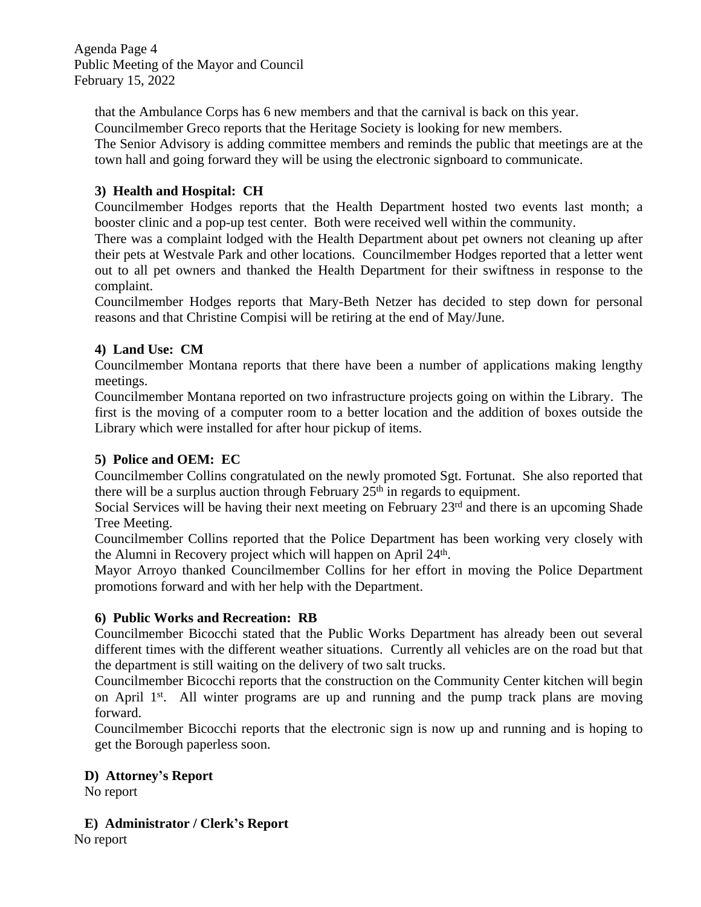Agenda Page 4 Public Meeting of the Mayor and Council February 15, 2022

that the Ambulance Corps has 6 new members and that the carnival is back on this year. Councilmember Greco reports that the Heritage Society is looking for new members.

The Senior Advisory is adding committee members and reminds the public that meetings are at the town hall and going forward they will be using the electronic signboard to communicate.

# **3) Health and Hospital: CH**

Councilmember Hodges reports that the Health Department hosted two events last month; a booster clinic and a pop-up test center. Both were received well within the community.

There was a complaint lodged with the Health Department about pet owners not cleaning up after their pets at Westvale Park and other locations. Councilmember Hodges reported that a letter went out to all pet owners and thanked the Health Department for their swiftness in response to the complaint.

Councilmember Hodges reports that Mary-Beth Netzer has decided to step down for personal reasons and that Christine Compisi will be retiring at the end of May/June.

# **4) Land Use: CM**

Councilmember Montana reports that there have been a number of applications making lengthy meetings.

Councilmember Montana reported on two infrastructure projects going on within the Library. The first is the moving of a computer room to a better location and the addition of boxes outside the Library which were installed for after hour pickup of items.

# **5) Police and OEM: EC**

Councilmember Collins congratulated on the newly promoted Sgt. Fortunat. She also reported that there will be a surplus auction through February  $25<sup>th</sup>$  in regards to equipment.

Social Services will be having their next meeting on February 23<sup>rd</sup> and there is an upcoming Shade Tree Meeting.

Councilmember Collins reported that the Police Department has been working very closely with the Alumni in Recovery project which will happen on April 24<sup>th</sup>.

Mayor Arroyo thanked Councilmember Collins for her effort in moving the Police Department promotions forward and with her help with the Department.

# **6) Public Works and Recreation: RB**

Councilmember Bicocchi stated that the Public Works Department has already been out several different times with the different weather situations. Currently all vehicles are on the road but that the department is still waiting on the delivery of two salt trucks.

Councilmember Bicocchi reports that the construction on the Community Center kitchen will begin on April 1<sup>st</sup>. All winter programs are up and running and the pump track plans are moving forward.

Councilmember Bicocchi reports that the electronic sign is now up and running and is hoping to get the Borough paperless soon.

#### **D) Attorney's Report**

No report

# **E) Administrator / Clerk's Report**

No report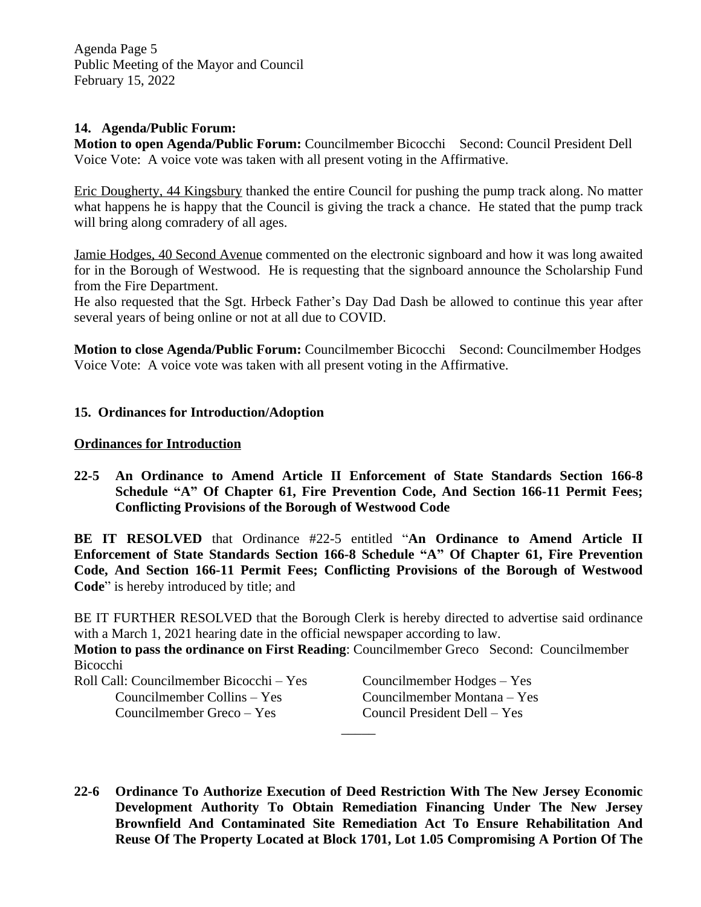Agenda Page 5 Public Meeting of the Mayor and Council February 15, 2022

#### **14. Agenda/Public Forum:**

**Motion to open Agenda/Public Forum:** Councilmember BicocchiSecond: Council President Dell Voice Vote: A voice vote was taken with all present voting in the Affirmative.

Eric Dougherty, 44 Kingsbury thanked the entire Council for pushing the pump track along. No matter what happens he is happy that the Council is giving the track a chance. He stated that the pump track will bring along comradery of all ages.

Jamie Hodges, 40 Second Avenue commented on the electronic signboard and how it was long awaited for in the Borough of Westwood. He is requesting that the signboard announce the Scholarship Fund from the Fire Department.

He also requested that the Sgt. Hrbeck Father's Day Dad Dash be allowed to continue this year after several years of being online or not at all due to COVID.

**Motion to close Agenda/Public Forum:** Councilmember BicocchiSecond: Councilmember Hodges Voice Vote: A voice vote was taken with all present voting in the Affirmative.

### **15. Ordinances for Introduction/Adoption**

#### **Ordinances for Introduction**

**22-5 An Ordinance to Amend Article II Enforcement of State Standards Section 166-8 Schedule "A" Of Chapter 61, Fire Prevention Code, And Section 166-11 Permit Fees; Conflicting Provisions of the Borough of Westwood Code**

**BE IT RESOLVED** that Ordinance #22-5 entitled "**An Ordinance to Amend Article II Enforcement of State Standards Section 166-8 Schedule "A" Of Chapter 61, Fire Prevention Code, And Section 166-11 Permit Fees; Conflicting Provisions of the Borough of Westwood Code**" is hereby introduced by title; and

BE IT FURTHER RESOLVED that the Borough Clerk is hereby directed to advertise said ordinance with a March 1, 2021 hearing date in the official newspaper according to law.

**Motion to pass the ordinance on First Reading**: Councilmember Greco Second: Councilmember Bicocchi

Roll Call: Councilmember Bicocchi – Yes Councilmember Hodges – Yes Councilmember Collins – Yes Councilmember Montana – Yes Councilmember Greco – Yes Council President Dell – Yes

**22-6 Ordinance To Authorize Execution of Deed Restriction With The New Jersey Economic Development Authority To Obtain Remediation Financing Under The New Jersey Brownfield And Contaminated Site Remediation Act To Ensure Rehabilitation And Reuse Of The Property Located at Block 1701, Lot 1.05 Compromising A Portion Of The**

 $\overline{\phantom{a}}$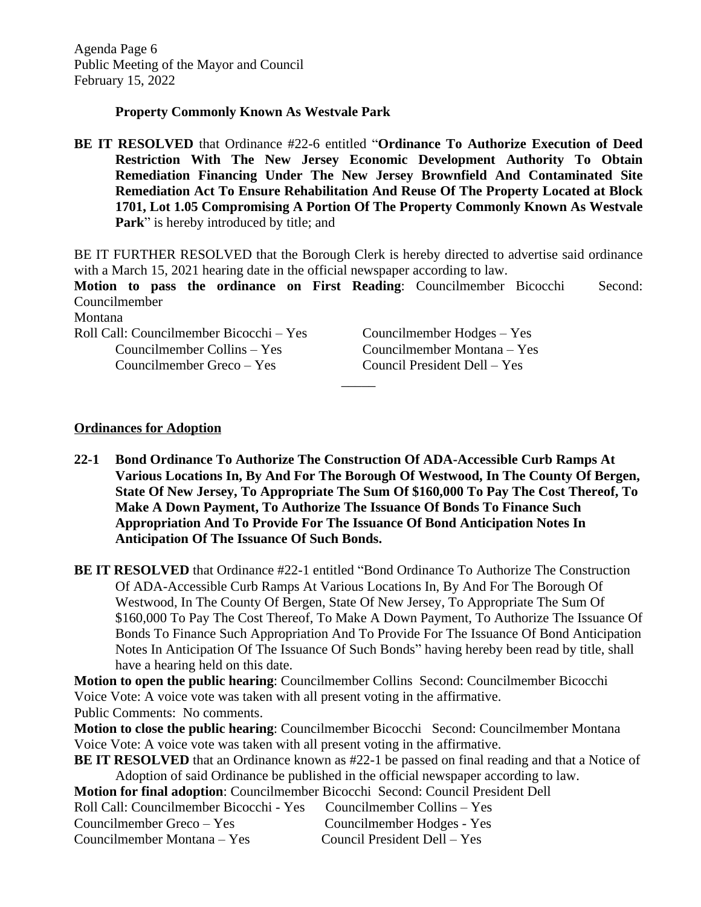#### **Property Commonly Known As Westvale Park**

**BE IT RESOLVED** that Ordinance #22-6 entitled "**Ordinance To Authorize Execution of Deed Restriction With The New Jersey Economic Development Authority To Obtain Remediation Financing Under The New Jersey Brownfield And Contaminated Site Remediation Act To Ensure Rehabilitation And Reuse Of The Property Located at Block 1701, Lot 1.05 Compromising A Portion Of The Property Commonly Known As Westvale Park**" is hereby introduced by title; and

BE IT FURTHER RESOLVED that the Borough Clerk is hereby directed to advertise said ordinance with a March 15, 2021 hearing date in the official newspaper according to law.

**Motion to pass the ordinance on First Reading**: Councilmember Bicocchi Second: Councilmember

 $\overline{\phantom{a}}$ 

Montana

| Roll Call: Councilmember Bicocchi – Yes |
|-----------------------------------------|
| Councilmember Collins – Yes             |
| Councilmember Greco – Yes               |

Councilmember Hodges – Yes Councilmember Montana – Yes Council President Dell – Yes

#### **Ordinances for Adoption**

**22-1 Bond Ordinance To Authorize The Construction Of ADA-Accessible Curb Ramps At Various Locations In, By And For The Borough Of Westwood, In The County Of Bergen, State Of New Jersey, To Appropriate The Sum Of \$160,000 To Pay The Cost Thereof, To Make A Down Payment, To Authorize The Issuance Of Bonds To Finance Such Appropriation And To Provide For The Issuance Of Bond Anticipation Notes In Anticipation Of The Issuance Of Such Bonds.**

**BE IT RESOLVED** that Ordinance #22-1 entitled "Bond Ordinance To Authorize The Construction Of ADA-Accessible Curb Ramps At Various Locations In, By And For The Borough Of Westwood, In The County Of Bergen, State Of New Jersey, To Appropriate The Sum Of \$160,000 To Pay The Cost Thereof, To Make A Down Payment, To Authorize The Issuance Of Bonds To Finance Such Appropriation And To Provide For The Issuance Of Bond Anticipation Notes In Anticipation Of The Issuance Of Such Bonds" having hereby been read by title, shall have a hearing held on this date.

**Motion to open the public hearing**: Councilmember Collins Second: Councilmember Bicocchi Voice Vote: A voice vote was taken with all present voting in the affirmative. Public Comments: No comments.

**Motion to close the public hearing**: Councilmember Bicocchi Second: Councilmember Montana Voice Vote: A voice vote was taken with all present voting in the affirmative.

**BE IT RESOLVED** that an Ordinance known as #22-1 be passed on final reading and that a Notice of Adoption of said Ordinance be published in the official newspaper according to law.

| <b>Motion for final adoption:</b> Councilmember Bicocchi Second: Council President Dell |                              |
|-----------------------------------------------------------------------------------------|------------------------------|
| Roll Call: Councilmember Bicocchi - Yes Councilmember Collins – Yes                     |                              |
| Councilmember Greco – Yes                                                               | Councilmember Hodges - Yes   |
| Councilmember Montana – Yes                                                             | Council President Dell – Yes |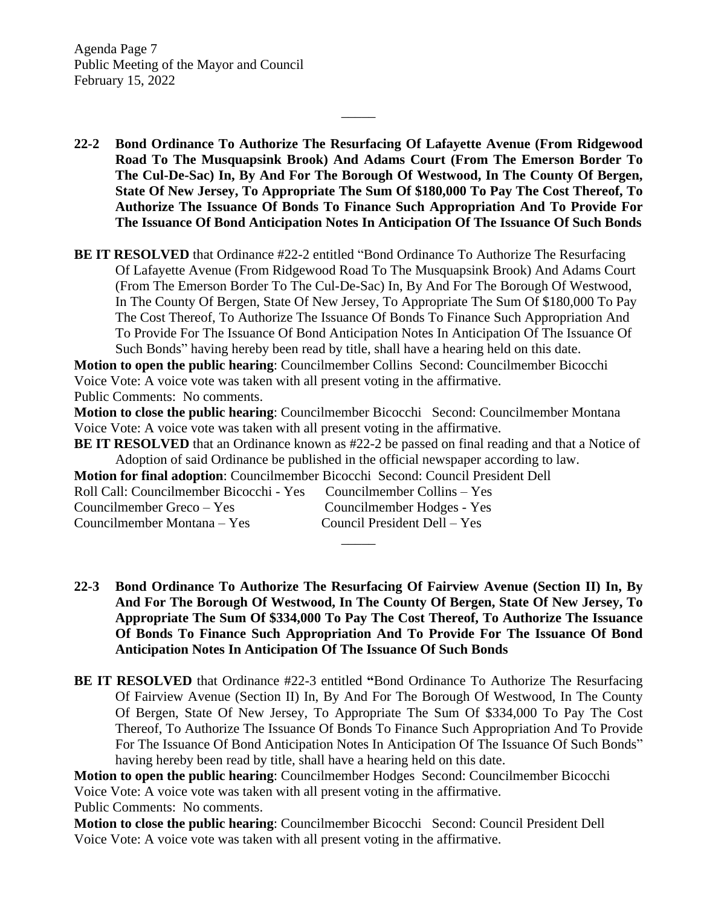Agenda Page 7 Public Meeting of the Mayor and Council February 15, 2022

**22-2 Bond Ordinance To Authorize The Resurfacing Of Lafayette Avenue (From Ridgewood Road To The Musquapsink Brook) And Adams Court (From The Emerson Border To The Cul-De-Sac) In, By And For The Borough Of Westwood, In The County Of Bergen, State Of New Jersey, To Appropriate The Sum Of \$180,000 To Pay The Cost Thereof, To Authorize The Issuance Of Bonds To Finance Such Appropriation And To Provide For The Issuance Of Bond Anticipation Notes In Anticipation Of The Issuance Of Such Bonds**

 $\overline{\phantom{a}}$ 

**BE IT RESOLVED** that Ordinance #22-2 entitled "Bond Ordinance To Authorize The Resurfacing Of Lafayette Avenue (From Ridgewood Road To The Musquapsink Brook) And Adams Court (From The Emerson Border To The Cul-De-Sac) In, By And For The Borough Of Westwood, In The County Of Bergen, State Of New Jersey, To Appropriate The Sum Of \$180,000 To Pay The Cost Thereof, To Authorize The Issuance Of Bonds To Finance Such Appropriation And To Provide For The Issuance Of Bond Anticipation Notes In Anticipation Of The Issuance Of Such Bonds" having hereby been read by title, shall have a hearing held on this date.

**Motion to open the public hearing**: Councilmember Collins Second: Councilmember Bicocchi Voice Vote: A voice vote was taken with all present voting in the affirmative.

Public Comments: No comments.

**Motion to close the public hearing**: Councilmember Bicocchi Second: Councilmember Montana Voice Vote: A voice vote was taken with all present voting in the affirmative.

**BE IT RESOLVED** that an Ordinance known as #22-2 be passed on final reading and that a Notice of Adoption of said Ordinance be published in the official newspaper according to law.

**Motion for final adoption**: Councilmember Bicocchi Second: Council President Dell

| Roll Call: Councilmember Bicocchi - Yes | Councilmember Collins – Yes  |
|-----------------------------------------|------------------------------|
| Councilmember Greco – Yes               | Councilmember Hodges - Yes   |
| Councilmember Montana – Yes             | Council President Dell – Yes |

**22-3 Bond Ordinance To Authorize The Resurfacing Of Fairview Avenue (Section II) In, By And For The Borough Of Westwood, In The County Of Bergen, State Of New Jersey, To Appropriate The Sum Of \$334,000 To Pay The Cost Thereof, To Authorize The Issuance Of Bonds To Finance Such Appropriation And To Provide For The Issuance Of Bond Anticipation Notes In Anticipation Of The Issuance Of Such Bonds**

 $\overline{\phantom{a}}$ 

**BE IT RESOLVED** that Ordinance #22-3 entitled **"**Bond Ordinance To Authorize The Resurfacing Of Fairview Avenue (Section II) In, By And For The Borough Of Westwood, In The County Of Bergen, State Of New Jersey, To Appropriate The Sum Of \$334,000 To Pay The Cost Thereof, To Authorize The Issuance Of Bonds To Finance Such Appropriation And To Provide For The Issuance Of Bond Anticipation Notes In Anticipation Of The Issuance Of Such Bonds" having hereby been read by title, shall have a hearing held on this date.

**Motion to open the public hearing**: Councilmember Hodges Second: Councilmember Bicocchi Voice Vote: A voice vote was taken with all present voting in the affirmative. Public Comments: No comments.

**Motion to close the public hearing**: Councilmember Bicocchi Second: Council President Dell Voice Vote: A voice vote was taken with all present voting in the affirmative.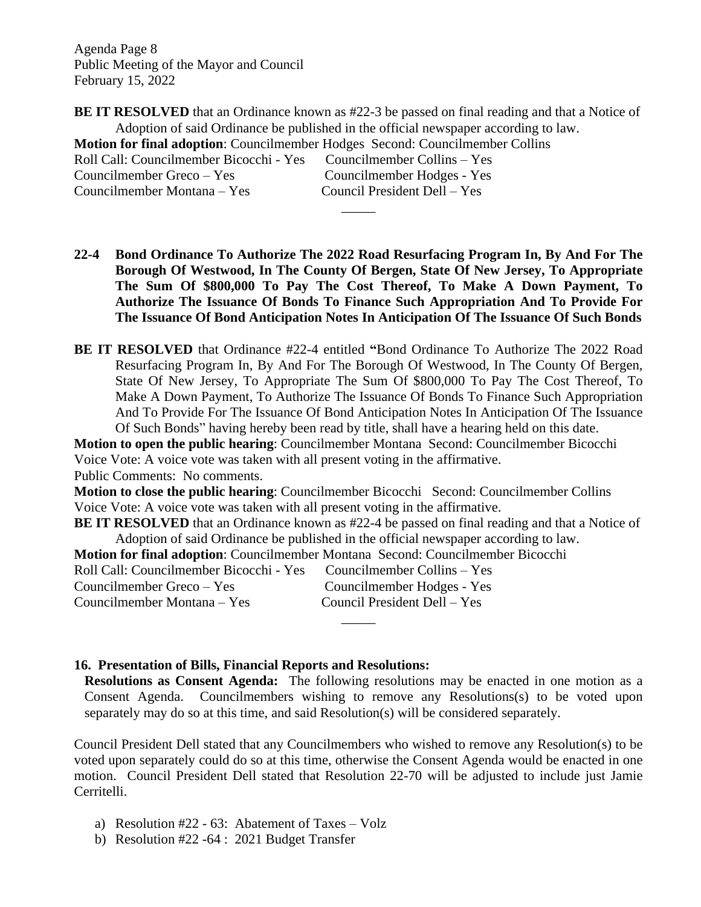Agenda Page 8 Public Meeting of the Mayor and Council February 15, 2022

**BE IT RESOLVED** that an Ordinance known as #22-3 be passed on final reading and that a Notice of Adoption of said Ordinance be published in the official newspaper according to law. **Motion for final adoption**: Councilmember Hodges Second: Councilmember Collins Roll Call: Councilmember Bicocchi - Yes Councilmember Collins – Yes Councilmember Greco – Yes Councilmember Hodges - Yes Councilmember Montana – Yes Council President Dell – Yes

 $\overline{\phantom{a}}$ 

**22-4 Bond Ordinance To Authorize The 2022 Road Resurfacing Program In, By And For The Borough Of Westwood, In The County Of Bergen, State Of New Jersey, To Appropriate The Sum Of \$800,000 To Pay The Cost Thereof, To Make A Down Payment, To Authorize The Issuance Of Bonds To Finance Such Appropriation And To Provide For**

**The Issuance Of Bond Anticipation Notes In Anticipation Of The Issuance Of Such Bonds BE IT RESOLVED** that Ordinance #22-4 entitled **"**Bond Ordinance To Authorize The 2022 Road Resurfacing Program In, By And For The Borough Of Westwood, In The County Of Bergen,

State Of New Jersey, To Appropriate The Sum Of \$800,000 To Pay The Cost Thereof, To Make A Down Payment, To Authorize The Issuance Of Bonds To Finance Such Appropriation And To Provide For The Issuance Of Bond Anticipation Notes In Anticipation Of The Issuance Of Such Bonds" having hereby been read by title, shall have a hearing held on this date.

**Motion to open the public hearing**: Councilmember Montana Second: Councilmember Bicocchi Voice Vote: A voice vote was taken with all present voting in the affirmative. Public Comments: No comments.

**Motion to close the public hearing**: Councilmember Bicocchi Second: Councilmember Collins Voice Vote: A voice vote was taken with all present voting in the affirmative.

**BE IT RESOLVED** that an Ordinance known as #22-4 be passed on final reading and that a Notice of Adoption of said Ordinance be published in the official newspaper according to law.

**Motion for final adoption**: Councilmember Montana Second: Councilmember Bicocchi

| Roll Call: Councilmember Bicocchi - Yes | Councilmember Collins – Yes  |
|-----------------------------------------|------------------------------|
| Councilmember Greco – Yes               | Councilmember Hodges - Yes   |
| Councilmember Montana – Yes             | Council President Dell – Yes |
|                                         |                              |

# **16. Presentation of Bills, Financial Reports and Resolutions:**

**Resolutions as Consent Agenda:** The following resolutions may be enacted in one motion as a Consent Agenda. Councilmembers wishing to remove any Resolutions(s) to be voted upon separately may do so at this time, and said Resolution(s) will be considered separately.

Council President Dell stated that any Councilmembers who wished to remove any Resolution(s) to be voted upon separately could do so at this time, otherwise the Consent Agenda would be enacted in one motion. Council President Dell stated that Resolution 22-70 will be adjusted to include just Jamie Cerritelli.

- a) Resolution #22 63: Abatement of Taxes Volz
- b) Resolution #22 -64 : 2021 Budget Transfer